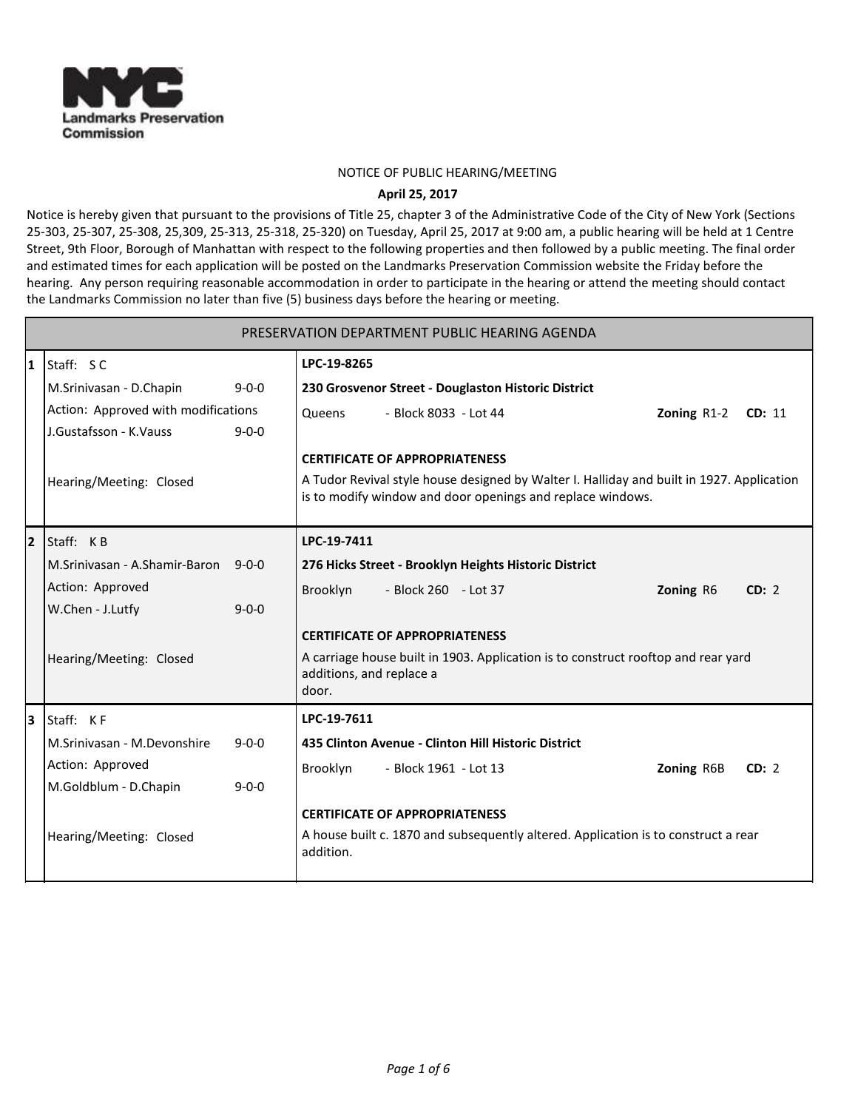

## NOTICE OF PUBLIC HEARING/MEETING

## **April 25, 2017**

Notice is hereby given that pursuant to the provisions of Title 25, chapter 3 of the Administrative Code of the City of New York (Sections 25-303, 25-307, 25-308, 25,309, 25-313, 25-318, 25-320) on Tuesday, April 25, 2017 at 9:00 am, a public hearing will be held at 1 Centre Street, 9th Floor, Borough of Manhattan with respect to the following properties and then followed by a public meeting. The final order and estimated times for each application will be posted on the Landmarks Preservation Commission website the Friday before the hearing. Any person requiring reasonable accommodation in order to participate in the hearing or attend the meeting should contact the Landmarks Commission no later than five (5) business days before the hearing or meeting.

|                |                                            | PRESERVATION DEPARTMENT PUBLIC HEARING AGENDA                                                                                                           |
|----------------|--------------------------------------------|---------------------------------------------------------------------------------------------------------------------------------------------------------|
| 1              | Staff: SC                                  | LPC-19-8265                                                                                                                                             |
|                | M.Srinivasan - D.Chapin<br>$9 - 0 - 0$     | 230 Grosvenor Street - Douglaston Historic District                                                                                                     |
|                | Action: Approved with modifications        | - Block 8033 - Lot 44<br>Queens<br>Zoning R1-2<br>CD: 11                                                                                                |
|                | J.Gustafsson - K.Vauss<br>$9 - 0 - 0$      |                                                                                                                                                         |
|                |                                            | <b>CERTIFICATE OF APPROPRIATENESS</b>                                                                                                                   |
|                | Hearing/Meeting: Closed                    | A Tudor Revival style house designed by Walter I. Halliday and built in 1927. Application<br>is to modify window and door openings and replace windows. |
| $\overline{2}$ | Staff: KB                                  | LPC-19-7411                                                                                                                                             |
|                | M.Sriniyasan - A.Shamir-Baron 9-0-0        | 276 Hicks Street - Brooklyn Heights Historic District                                                                                                   |
|                | Action: Approved                           | Brooklyn<br>- Block 260 - Lot 37<br><b>Zoning R6</b><br>CD: 2                                                                                           |
|                | W.Chen - J.Lutfy<br>$9 - 0 - 0$            |                                                                                                                                                         |
|                |                                            | <b>CERTIFICATE OF APPROPRIATENESS</b>                                                                                                                   |
|                | Hearing/Meeting: Closed                    | A carriage house built in 1903. Application is to construct rooftop and rear yard                                                                       |
|                |                                            | additions, and replace a<br>door.                                                                                                                       |
| l3             | Staff: KF                                  | LPC-19-7611                                                                                                                                             |
|                | M.Srinivasan - M.Devonshire<br>$9 - 0 - 0$ | 435 Clinton Avenue - Clinton Hill Historic District                                                                                                     |
|                | Action: Approved                           |                                                                                                                                                         |
|                | M.Goldblum - D.Chapin<br>$9 - 0 - 0$       | Brooklyn<br>- Block 1961 - Lot 13<br>Zoning R6B<br>CD: 2                                                                                                |
|                |                                            | <b>CERTIFICATE OF APPROPRIATENESS</b>                                                                                                                   |
|                |                                            | A house built c. 1870 and subsequently altered. Application is to construct a rear                                                                      |
|                | Hearing/Meeting: Closed                    | addition.                                                                                                                                               |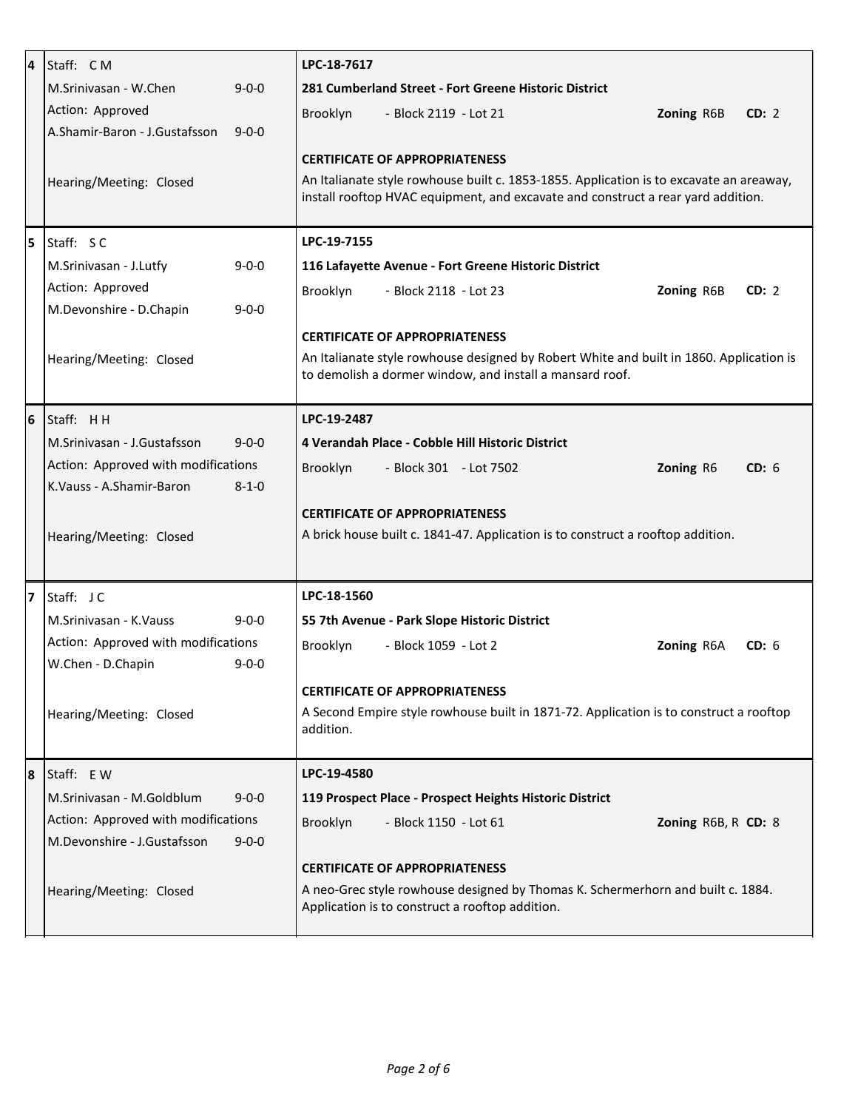| 4 | Staff: CM                                    | LPC-18-7617                                                                                                                        |
|---|----------------------------------------------|------------------------------------------------------------------------------------------------------------------------------------|
|   | M.Sriniyasan - W.Chen<br>$9 - 0 - 0$         | 281 Cumberland Street - Fort Greene Historic District                                                                              |
|   | Action: Approved                             | Brooklyn<br>Zoning R6B<br>CD: 2<br>- Block 2119 - Lot 21                                                                           |
|   | A.Shamir-Baron - J.Gustafsson<br>$9 - 0 - 0$ |                                                                                                                                    |
|   |                                              | <b>CERTIFICATE OF APPROPRIATENESS</b>                                                                                              |
|   | Hearing/Meeting: Closed                      | An Italianate style rowhouse built c. 1853-1855. Application is to excavate an areaway,                                            |
|   |                                              | install rooftop HVAC equipment, and excavate and construct a rear yard addition.                                                   |
| 5 | Staff: SC                                    | LPC-19-7155                                                                                                                        |
|   | M.Srinivasan - J.Lutfy<br>$9 - 0 - 0$        | 116 Lafayette Avenue - Fort Greene Historic District                                                                               |
|   | Action: Approved                             | Brooklyn<br>- Block 2118 - Lot 23<br>CD: 2<br><b>Zoning R6B</b>                                                                    |
|   | M.Devonshire - D.Chapin<br>$9 - 0 - 0$       |                                                                                                                                    |
|   |                                              | <b>CERTIFICATE OF APPROPRIATENESS</b>                                                                                              |
|   | Hearing/Meeting: Closed                      | An Italianate style rowhouse designed by Robert White and built in 1860. Application is                                            |
|   |                                              | to demolish a dormer window, and install a mansard roof.                                                                           |
| 6 | Staff: HH                                    | LPC-19-2487                                                                                                                        |
|   | M.Srinivasan - J.Gustafsson<br>$9 - 0 - 0$   | 4 Verandah Place - Cobble Hill Historic District                                                                                   |
|   | Action: Approved with modifications          |                                                                                                                                    |
|   | K.Vauss - A.Shamir-Baron<br>$8 - 1 - 0$      | CD: 6<br>Brooklyn<br>Zoning R6<br>- Block 301 - Lot 7502                                                                           |
|   |                                              |                                                                                                                                    |
|   |                                              | <b>CERTIFICATE OF APPROPRIATENESS</b><br>A brick house built c. 1841-47. Application is to construct a rooftop addition.           |
|   | Hearing/Meeting: Closed                      |                                                                                                                                    |
|   |                                              |                                                                                                                                    |
| 7 | Staff: JC                                    | LPC-18-1560                                                                                                                        |
|   | M.Srinivasan - K.Vauss<br>$9 - 0 - 0$        | 55 7th Avenue - Park Slope Historic District                                                                                       |
|   | Action: Approved with modifications          | Brooklyn<br>- Block 1059 - Lot 2<br>CD: 6<br>Zoning R6A                                                                            |
|   | W.Chen - D.Chapin<br>$9 - 0 - 0$             |                                                                                                                                    |
|   |                                              | <b>CERTIFICATE OF APPROPRIATENESS</b>                                                                                              |
|   | Hearing/Meeting: Closed                      | A Second Empire style rowhouse built in 1871-72. Application is to construct a rooftop<br>addition.                                |
|   |                                              |                                                                                                                                    |
| 8 | Staff: EW                                    | LPC-19-4580                                                                                                                        |
|   | M.Srinivasan - M.Goldblum<br>$9 - 0 - 0$     | 119 Prospect Place - Prospect Heights Historic District                                                                            |
|   | Action: Approved with modifications          | Brooklyn<br>- Block 1150 - Lot 61<br>Zoning R6B, R CD: 8                                                                           |
|   |                                              |                                                                                                                                    |
|   | M.Devonshire - J.Gustafsson<br>$9 - 0 - 0$   |                                                                                                                                    |
|   |                                              | <b>CERTIFICATE OF APPROPRIATENESS</b>                                                                                              |
|   | Hearing/Meeting: Closed                      | A neo-Grec style rowhouse designed by Thomas K. Schermerhorn and built c. 1884.<br>Application is to construct a rooftop addition. |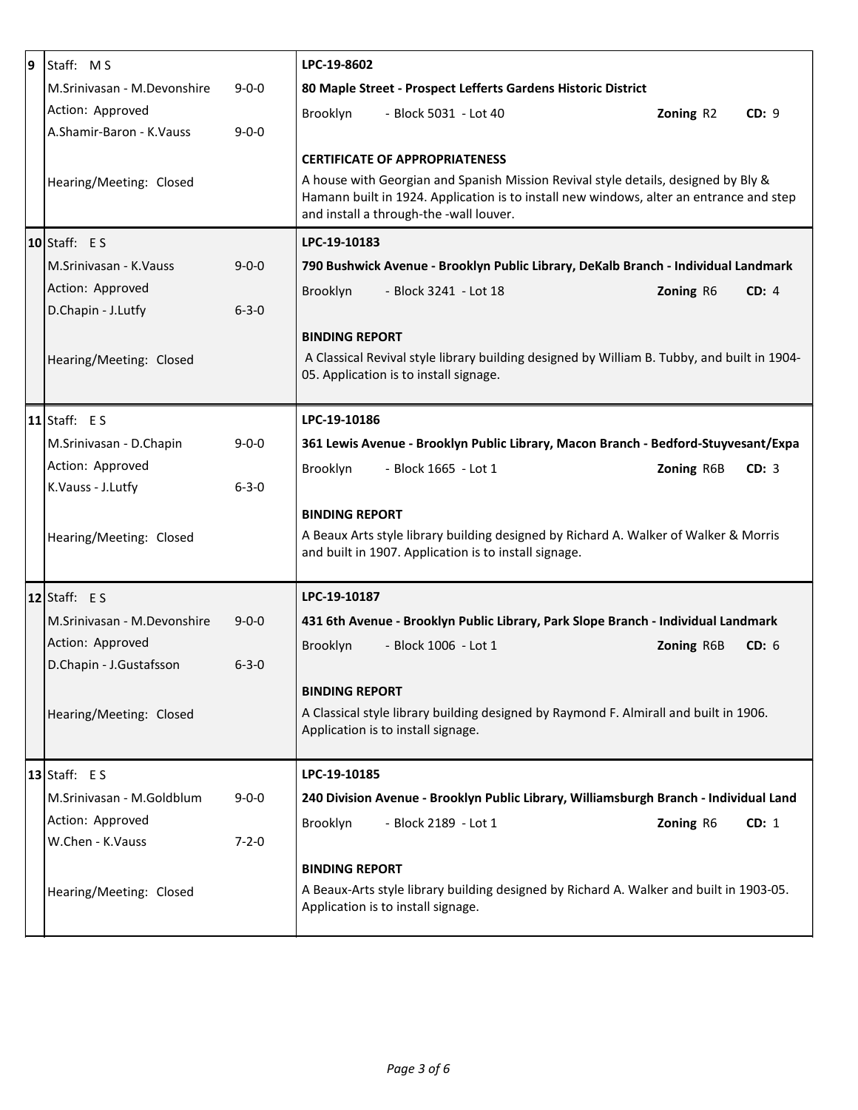| 9 | Staff: MS                                           | LPC-19-8602                                                                                                                        |
|---|-----------------------------------------------------|------------------------------------------------------------------------------------------------------------------------------------|
|   | M.Srinivasan - M.Devonshire<br>$9 - 0 - 0$          | 80 Maple Street - Prospect Lefferts Gardens Historic District                                                                      |
|   | Action: Approved                                    | Brooklyn<br>- Block 5031 - Lot 40<br>Zoning R2<br>CD: 9                                                                            |
|   | A.Shamir-Baron - K.Vauss<br>$9 - 0 - 0$             |                                                                                                                                    |
|   |                                                     | <b>CERTIFICATE OF APPROPRIATENESS</b>                                                                                              |
|   | Hearing/Meeting: Closed                             | A house with Georgian and Spanish Mission Revival style details, designed by Bly &                                                 |
|   |                                                     | Hamann built in 1924. Application is to install new windows, alter an entrance and step<br>and install a through-the -wall louver. |
|   | $10$ Staff: ES                                      | LPC-19-10183                                                                                                                       |
|   | M.Sriniyasan - K.Vauss<br>$9 - 0 - 0$               | 790 Bushwick Avenue - Brooklyn Public Library, DeKalb Branch - Individual Landmark                                                 |
|   | Action: Approved                                    | Brooklyn<br>- Block 3241 - Lot 18<br>Zoning R6<br>CD: 4                                                                            |
|   | D.Chapin - J.Lutfy<br>$6 - 3 - 0$                   |                                                                                                                                    |
|   |                                                     | <b>BINDING REPORT</b>                                                                                                              |
|   | Hearing/Meeting: Closed                             | A Classical Revival style library building designed by William B. Tubby, and built in 1904-                                        |
|   |                                                     | 05. Application is to install signage.                                                                                             |
|   |                                                     |                                                                                                                                    |
|   | $11$ Staff: ES                                      | LPC-19-10186                                                                                                                       |
|   | $9 - 0 - 0$<br>M.Srinivasan - D.Chapin              | 361 Lewis Avenue - Brooklyn Public Library, Macon Branch - Bedford-Stuyvesant/Expa                                                 |
|   | Action: Approved                                    | Brooklyn<br>- Block 1665 - Lot 1<br>Zoning R6B<br>CD: 3                                                                            |
|   | K.Vauss - J.Lutfy<br>$6 - 3 - 0$                    |                                                                                                                                    |
|   |                                                     | <b>BINDING REPORT</b>                                                                                                              |
|   | Hearing/Meeting: Closed                             | A Beaux Arts style library building designed by Richard A. Walker of Walker & Morris                                               |
|   |                                                     | and built in 1907. Application is to install signage.                                                                              |
|   | 12 Staff: $E S$                                     | LPC-19-10187                                                                                                                       |
|   | M.Srinivasan - M.Devonshire<br>$9 - 0 - 0$          | 431 6th Avenue - Brooklyn Public Library, Park Slope Branch - Individual Landmark                                                  |
|   | Action: Approved                                    | Brooklyn<br>- Block 1006 - Lot 1<br>Zoning R6B<br>CD: 6                                                                            |
|   | D.Chapin - J.Gustafsson<br>$6 - 3 - 0$              |                                                                                                                                    |
|   |                                                     | <b>BINDING REPORT</b>                                                                                                              |
|   | Hearing/Meeting: Closed                             | A Classical style library building designed by Raymond F. Almirall and built in 1906.                                              |
|   |                                                     | Application is to install signage.                                                                                                 |
|   | $13$ Staff: ES                                      | LPC-19-10185                                                                                                                       |
|   | M.Srinivasan - M.Goldblum                           |                                                                                                                                    |
|   | $9 - 0 - 0$                                         | 240 Division Avenue - Brooklyn Public Library, Williamsburgh Branch - Individual Land                                              |
|   | Action: Approved<br>W.Chen - K.Vauss<br>$7 - 2 - 0$ | Brooklyn<br>- Block 2189 - Lot 1<br>Zoning R6<br>CD: 1                                                                             |
|   |                                                     |                                                                                                                                    |
|   |                                                     | <b>BINDING REPORT</b>                                                                                                              |
|   | Hearing/Meeting: Closed                             | A Beaux-Arts style library building designed by Richard A. Walker and built in 1903-05.<br>Application is to install signage.      |
|   |                                                     |                                                                                                                                    |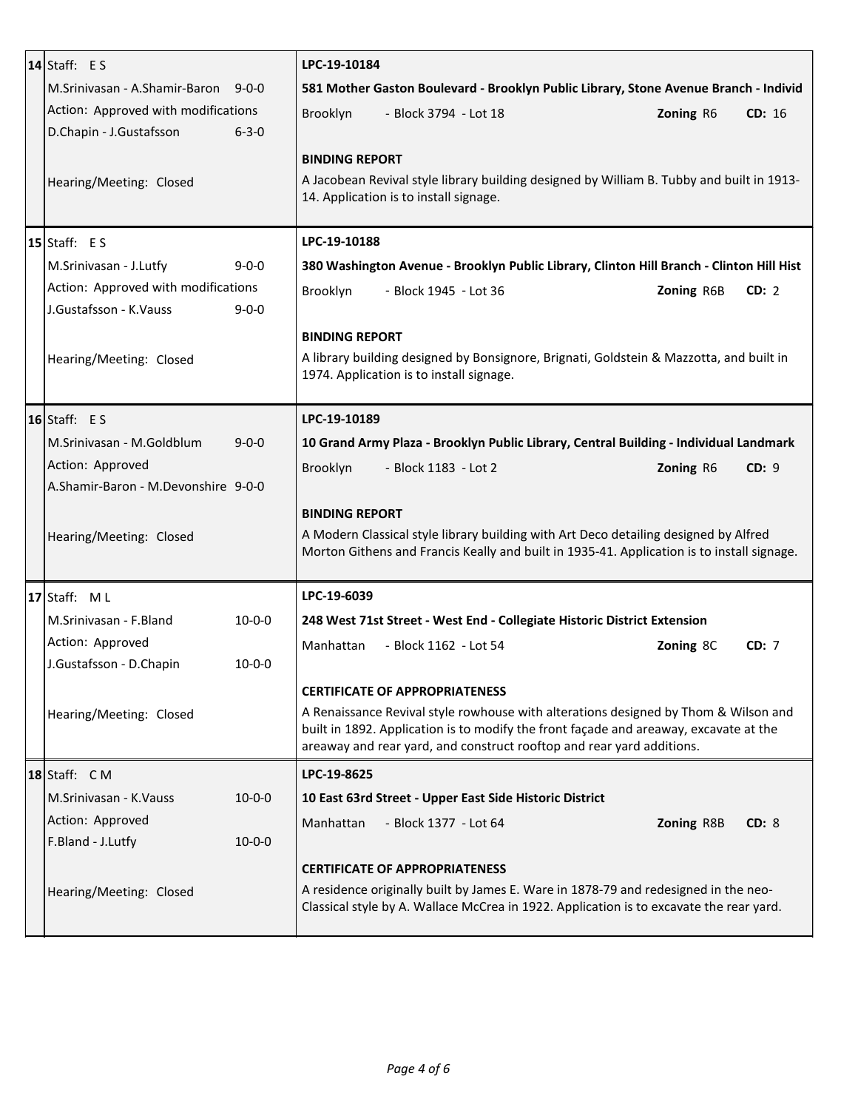| 14 Staff: $E S$                          | LPC-19-10184                                                                                                                                                                       |
|------------------------------------------|------------------------------------------------------------------------------------------------------------------------------------------------------------------------------------|
| M.Sriniyasan - A.Shamir-Baron 9-0-0      | 581 Mother Gaston Boulevard - Brooklyn Public Library, Stone Avenue Branch - Individ                                                                                               |
| Action: Approved with modifications      | Brooklyn<br>- Block 3794 - Lot 18<br>Zoning R6<br>CD: 16                                                                                                                           |
| D.Chapin - J.Gustafsson<br>$6 - 3 - 0$   |                                                                                                                                                                                    |
|                                          | <b>BINDING REPORT</b>                                                                                                                                                              |
| Hearing/Meeting: Closed                  | A Jacobean Revival style library building designed by William B. Tubby and built in 1913-                                                                                          |
|                                          | 14. Application is to install signage.                                                                                                                                             |
|                                          |                                                                                                                                                                                    |
| 15 Staff: $E S$                          | LPC-19-10188                                                                                                                                                                       |
| M.Srinivasan - J.Lutfy<br>$9 - 0 - 0$    | 380 Washington Avenue - Brooklyn Public Library, Clinton Hill Branch - Clinton Hill Hist                                                                                           |
| Action: Approved with modifications      | Brooklyn<br>- Block 1945 - Lot 36<br>Zoning R6B<br>CD: 2                                                                                                                           |
| J.Gustafsson - K.Vauss<br>$9 - 0 - 0$    |                                                                                                                                                                                    |
|                                          | <b>BINDING REPORT</b>                                                                                                                                                              |
| Hearing/Meeting: Closed                  | A library building designed by Bonsignore, Brignati, Goldstein & Mazzotta, and built in                                                                                            |
|                                          | 1974. Application is to install signage.                                                                                                                                           |
| $16$ Staff: ES                           | LPC-19-10189                                                                                                                                                                       |
|                                          |                                                                                                                                                                                    |
| M.Srinivasan - M.Goldblum<br>$9 - 0 - 0$ | 10 Grand Army Plaza - Brooklyn Public Library, Central Building - Individual Landmark                                                                                              |
| Action: Approved                         | CD: 9<br>Brooklyn<br>- Block 1183 - Lot 2<br>Zoning R6                                                                                                                             |
| A.Shamir-Baron - M.Devonshire 9-0-0      |                                                                                                                                                                                    |
|                                          | <b>BINDING REPORT</b>                                                                                                                                                              |
| Hearing/Meeting: Closed                  | A Modern Classical style library building with Art Deco detailing designed by Alfred<br>Morton Githens and Francis Keally and built in 1935-41. Application is to install signage. |
|                                          |                                                                                                                                                                                    |
| 17 Staff: $ML$                           | LPC-19-6039                                                                                                                                                                        |
| M.Srinivasan - F.Bland<br>$10 - 0 - 0$   | 248 West 71st Street - West End - Collegiate Historic District Extension                                                                                                           |
| Action: Approved                         | Manhattan<br>- Block 1162 - Lot 54<br>Zoning 8C<br>CD: 7                                                                                                                           |
| J.Gustafsson - D.Chapin<br>$10 - 0 - 0$  |                                                                                                                                                                                    |
|                                          | <b>CERTIFICATE OF APPROPRIATENESS</b>                                                                                                                                              |
|                                          | A Renaissance Revival style rowhouse with alterations designed by Thom & Wilson and                                                                                                |
| Hearing/Meeting: Closed                  | built in 1892. Application is to modify the front façade and areaway, excavate at the                                                                                              |
|                                          | areaway and rear yard, and construct rooftop and rear yard additions.                                                                                                              |
| $18$ Staff: CM                           | LPC-19-8625                                                                                                                                                                        |
| M.Srinivasan - K.Vauss<br>$10 - 0 - 0$   | 10 East 63rd Street - Upper East Side Historic District                                                                                                                            |
| Action: Approved                         | Manhattan<br>- Block 1377 - Lot 64<br>Zoning R8B<br>CD: 8                                                                                                                          |
| F.Bland - J.Lutfy<br>$10 - 0 - 0$        |                                                                                                                                                                                    |
|                                          | <b>CERTIFICATE OF APPROPRIATENESS</b>                                                                                                                                              |
| Hearing/Meeting: Closed                  | A residence originally built by James E. Ware in 1878-79 and redesigned in the neo-                                                                                                |
|                                          | Classical style by A. Wallace McCrea in 1922. Application is to excavate the rear yard.                                                                                            |
|                                          |                                                                                                                                                                                    |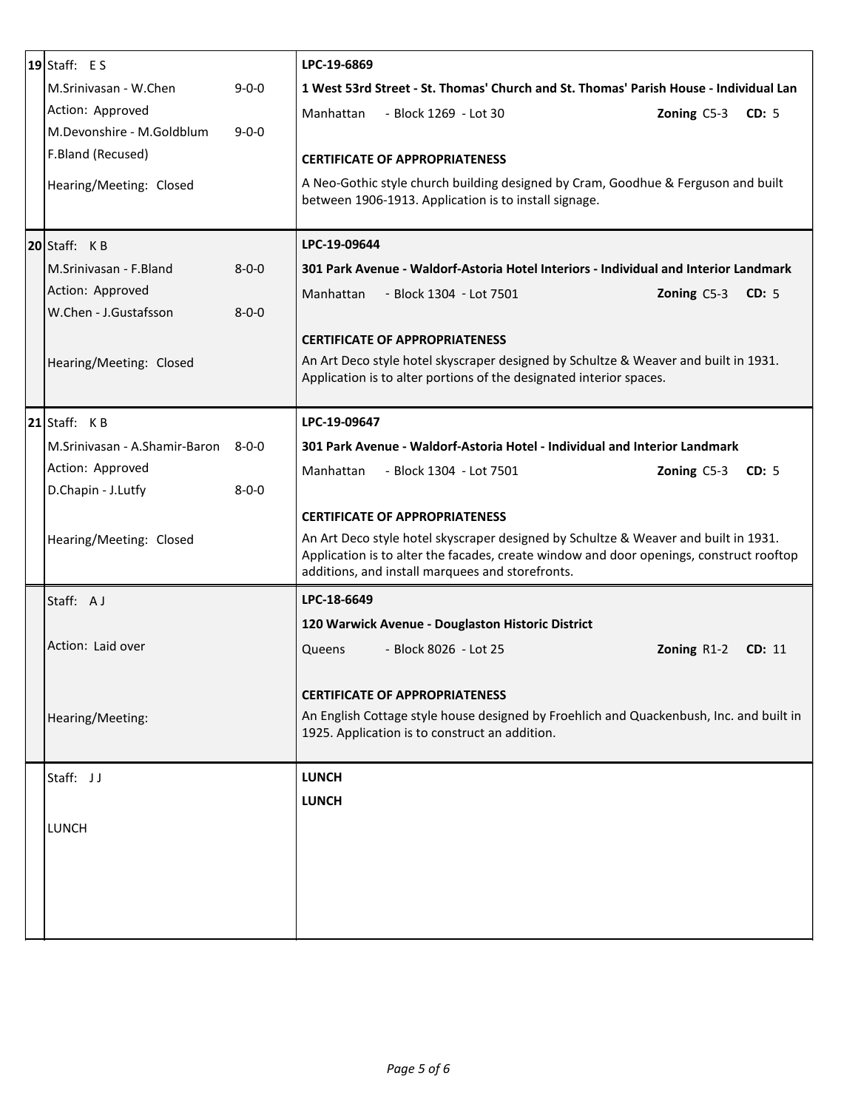| $ 19 $ Staff: E S                        | LPC-19-6869                                                                                                                                                                    |
|------------------------------------------|--------------------------------------------------------------------------------------------------------------------------------------------------------------------------------|
| M.Srinivasan - W.Chen<br>$9 - 0 - 0$     | 1 West 53rd Street - St. Thomas' Church and St. Thomas' Parish House - Individual Lan                                                                                          |
| Action: Approved                         | Manhattan<br>Zoning $C5-3$ CD: 5<br>- Block 1269 - Lot 30                                                                                                                      |
| M.Devonshire - M.Goldblum<br>$9 - 0 - 0$ |                                                                                                                                                                                |
| F.Bland (Recused)                        | <b>CERTIFICATE OF APPROPRIATENESS</b>                                                                                                                                          |
| Hearing/Meeting: Closed                  | A Neo-Gothic style church building designed by Cram, Goodhue & Ferguson and built                                                                                              |
|                                          | between 1906-1913. Application is to install signage.                                                                                                                          |
| $ 20 $ Staff: KB                         | LPC-19-09644                                                                                                                                                                   |
| $8 - 0 - 0$<br>M.Sriniyasan - F.Bland    | 301 Park Avenue - Waldorf-Astoria Hotel Interiors - Individual and Interior Landmark                                                                                           |
| Action: Approved                         | Manhattan<br>- Block 1304 - Lot 7501<br>CD: 5<br><b>Zoning C5-3</b>                                                                                                            |
| W.Chen - J.Gustafsson<br>$8 - 0 - 0$     |                                                                                                                                                                                |
|                                          | <b>CERTIFICATE OF APPROPRIATENESS</b>                                                                                                                                          |
| Hearing/Meeting: Closed                  | An Art Deco style hotel skyscraper designed by Schultze & Weaver and built in 1931.                                                                                            |
|                                          | Application is to alter portions of the designated interior spaces.                                                                                                            |
| $ 21 $ Staff: KB                         | LPC-19-09647                                                                                                                                                                   |
| M.Srinivasan - A.Shamir-Baron 8-0-0      | 301 Park Avenue - Waldorf-Astoria Hotel - Individual and Interior Landmark                                                                                                     |
|                                          |                                                                                                                                                                                |
| Action: Approved                         | - Block 1304 - Lot 7501<br>Zoning C5-3 CD: 5<br>Manhattan                                                                                                                      |
| D.Chapin - J.Lutfy<br>$8 - 0 - 0$        |                                                                                                                                                                                |
|                                          | <b>CERTIFICATE OF APPROPRIATENESS</b>                                                                                                                                          |
| Hearing/Meeting: Closed                  | An Art Deco style hotel skyscraper designed by Schultze & Weaver and built in 1931.<br>Application is to alter the facades, create window and door openings, construct rooftop |
|                                          | additions, and install marquees and storefronts.                                                                                                                               |
| Staff: AJ                                | LPC-18-6649                                                                                                                                                                    |
|                                          | 120 Warwick Avenue - Douglaston Historic District                                                                                                                              |
| Action: Laid over                        | - Block 8026 - Lot 25<br>Queens<br>Zoning R1-2<br>CD: 11                                                                                                                       |
|                                          |                                                                                                                                                                                |
|                                          | <b>CERTIFICATE OF APPROPRIATENESS</b>                                                                                                                                          |
| Hearing/Meeting:                         | An English Cottage style house designed by Froehlich and Quackenbush, Inc. and built in                                                                                        |
|                                          | 1925. Application is to construct an addition.                                                                                                                                 |
|                                          |                                                                                                                                                                                |
| Staff: JJ                                | <b>LUNCH</b>                                                                                                                                                                   |
|                                          | <b>LUNCH</b>                                                                                                                                                                   |
| <b>LUNCH</b>                             |                                                                                                                                                                                |
|                                          |                                                                                                                                                                                |
|                                          |                                                                                                                                                                                |
|                                          |                                                                                                                                                                                |
|                                          |                                                                                                                                                                                |
|                                          |                                                                                                                                                                                |